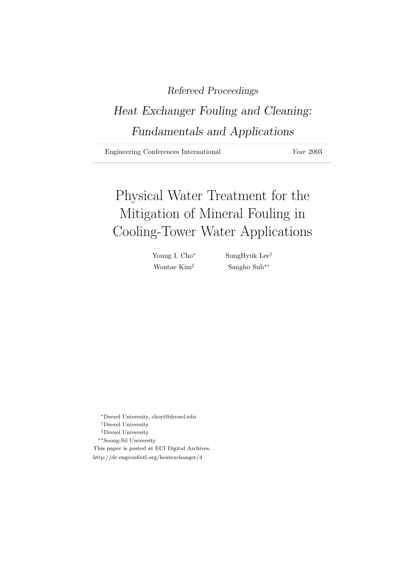# Refereed Proceedings

# Heat Exchanger Fouling and Cleaning: Fundamentals and Applications

Engineering Conferences International *Year* 2003

# Physical Water Treatment for the Mitigation of Mineral Fouling in Cooling-Tower Water Applications

Young I. Cho<sup>∗</sup> SungHyuk Lee† Wontae Kim‡ Sangho Suh∗∗

<sup>∗</sup>Drexel University, choyi@drexel.edu †Drexel University ‡Drexel University ∗∗Soong-Sil University This paper is posted at ECI Digital Archives. http://dc.engconfintl.org/heatexchanger/4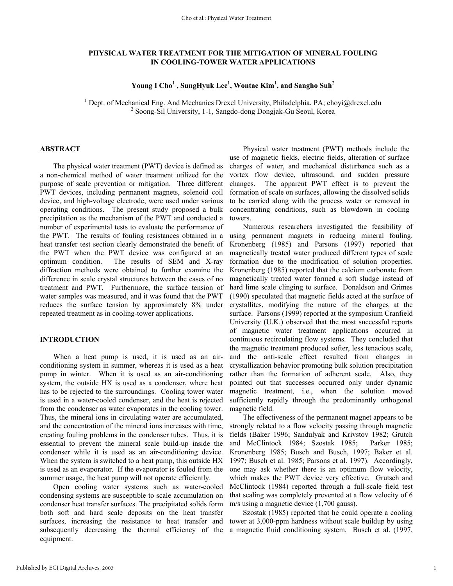# **PHYSICAL WATER TREATMENT FOR THE MITIGATION OF MINERAL FOULING IN COOLING-TOWER WATER APPLICATIONS**

**Young I Cho**<sup>1</sup>  **, SungHyuk Lee**<sup>1</sup> **, Wontae Kim**<sup>1</sup> **, and Sangho Suh**<sup>2</sup>

<sup>1</sup> Dept. of Mechanical Eng. And Mechanics Drexel University, Philadelphia, PA; choyi@drexel.edu  $\frac{250000 \text{ S}^{11}}{2}$  Seems Sil University, 1.1. Senado dong Dongiels Gu Seeul Korea <sup>2</sup> Soong-Sil University, 1-1, Sangdo-dong Dongjak-Gu Seoul, Korea

# **ABSTRACT**

The physical water treatment (PWT) device is defined as a non-chemical method of water treatment utilized for the purpose of scale prevention or mitigation. Three different PWT devices, including permanent magnets, solenoid coil device, and high-voltage electrode, were used under various operating conditions. The present study proposed a bulk precipitation as the mechanism of the PWT and conducted a number of experimental tests to evaluate the performance of the PWT. The results of fouling resistances obtained in a heat transfer test section clearly demonstrated the benefit of the PWT when the PWT device was configured at an optimum condition. The results of SEM and X-ray diffraction methods were obtained to further examine the difference in scale crystal structures between the cases of no treatment and PWT. Furthermore, the surface tension of water samples was measured, and it was found that the PWT reduces the surface tension by approximately 8% under repeated treatment as in cooling-tower applications.

### **INTRODUCTION**

When a heat pump is used, it is used as an airconditioning system in summer, whereas it is used as a heat pump in winter. When it is used as an air-conditioning system, the outside HX is used as a condenser, where heat has to be rejected to the surroundings. Cooling tower water is used in a water-cooled condenser, and the heat is rejected from the condenser as water evaporates in the cooling tower. Thus, the mineral ions in circulating water are accumulated, and the concentration of the mineral ions increases with time, creating fouling problems in the condenser tubes. Thus, it is essential to prevent the mineral scale build-up inside the condenser while it is used as an air-conditioning device. When the system is switched to a heat pump, this outside HX is used as an evaporator. If the evaporator is fouled from the summer usage, the heat pump will not operate efficiently.

Open cooling water systems such as water-cooled condensing systems are susceptible to scale accumulation on condenser heat transfer surfaces. The precipitated solids form both soft and hard scale deposits on the heat transfer surfaces, increasing the resistance to heat transfer and subsequently decreasing the thermal efficiency of the equipment.

Physical water treatment (PWT) methods include the use of magnetic fields, electric fields, alteration of surface charges of water, and mechanical disturbance such as a vortex flow device, ultrasound, and sudden pressure changes. The apparent PWT effect is to prevent the formation of scale on surfaces, allowing the dissolved solids to be carried along with the process water or removed in concentrating conditions, such as blowdown in cooling towers.

Numerous researchers investigated the feasibility of using permanent magnets in reducing mineral fouling. Kronenberg (1985) and Parsons (1997) reported that magnetically treated water produced different types of scale formation due to the modification of solution properties. Kronenberg (1985) reported that the calcium carbonate from magnetically treated water formed a soft sludge instead of hard lime scale clinging to surface. Donaldson and Grimes (1990) speculated that magnetic fields acted at the surface of crystallites, modifying the nature of the charges at the surface. Parsons (1999) reported at the symposium Cranfield University (U.K.) observed that the most successful reports of magnetic water treatment applications occurred in continuous recirculating flow systems. They concluded that the magnetic treatment produced softer, less tenacious scale, and the anti-scale effect resulted from changes in crystallization behavior promoting bulk solution precipitation rather than the formation of adherent scale. Also, they pointed out that successes occurred only under dynamic magnetic treatment, i.e., when the solution moved sufficiently rapidly through the predominantly orthogonal magnetic field.

The effectiveness of the permanent magnet appears to be strongly related to a flow velocity passing through magnetic fields (Baker 1996; Sandulyak and Krivstov 1982; Grutch and McClintock 1984; Szostak 1985; Parker 1985; Kronenberg 1985; Busch and Busch, 1997; Baker et al. 1997; Busch et al. 1985; Parsons et al. 1997). Accordingly, one may ask whether there is an optimum flow velocity, which makes the PWT device very effective. Grutsch and McClintock (1984) reported through a full-scale field test that scaling was completely prevented at a flow velocity of 6 m/s using a magnetic device (1,700 gauss).

Szostak (1985) reported that he could operate a cooling tower at 3,000-ppm hardness without scale buildup by using a magnetic fluid conditioning system. Busch et al. (1997,

1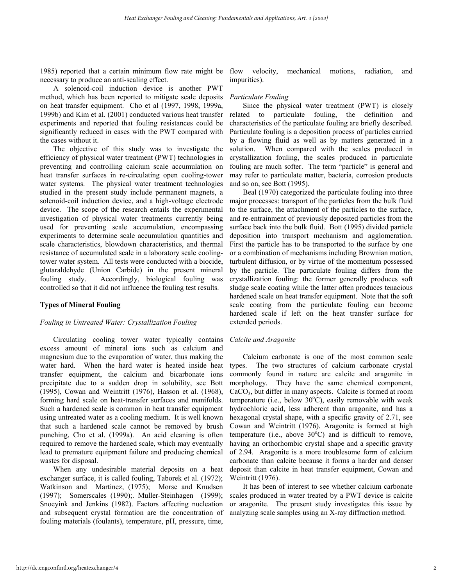1985) reported that a certain minimum flow rate might be necessary to produce an anti-scaling effect.

A solenoid-coil induction device is another PWT method, which has been reported to mitigate scale deposits on heat transfer equipment. Cho et al (1997, 1998, 1999a, 1999b) and Kim et al. (2001) conducted various heat transfer experiments and reported that fouling resistances could be significantly reduced in cases with the PWT compared with the cases without it.

The objective of this study was to investigate the efficiency of physical water treatment (PWT) technologies in preventing and controlling calcium scale accumulation on heat transfer surfaces in re-circulating open cooling-tower water systems. The physical water treatment technologies studied in the present study include permanent magnets, a solenoid-coil induction device, and a high-voltage electrode device. The scope of the research entails the experimental investigation of physical water treatments currently being used for preventing scale accumulation, encompassing experiments to determine scale accumulation quantities and scale characteristics, blowdown characteristics, and thermal resistance of accumulated scale in a laboratory scale coolingtower water system. All tests were conducted with a biocide, glutaraldehyde (Union Carbide) in the present mineral fouling study. Accordingly, biological fouling was controlled so that it did not influence the fouling test results.

### **Types of Mineral Fouling**

#### *Fouling in Untreated Water: Crystallization Fouling*

Circulating cooling tower water typically contains excess amount of mineral ions such as calcium and magnesium due to the evaporation of water, thus making the water hard. When the hard water is heated inside heat transfer equipment, the calcium and bicarbonate ions precipitate due to a sudden drop in solubility, see Bott (1995), Cowan and Weintritt (1976), Hasson et al. (1968), forming hard scale on heat-transfer surfaces and manifolds. Such a hardened scale is common in heat transfer equipment using untreated water as a cooling medium. It is well known that such a hardened scale cannot be removed by brush punching, Cho et al. (1999a). An acid cleaning is often required to remove the hardened scale, which may eventually lead to premature equipment failure and producing chemical wastes for disposal.

When any undesirable material deposits on a heat exchanger surface, it is called fouling, Taborek et al. (1972); Watkinson and Martinez, (1975); Morse and Knudsen (1997); Somerscales (1990);. Muller-Steinhagen (1999); Snoeyink and Jenkins (1982). Factors affecting nucleation and subsequent crystal formation are the concentration of fouling materials (foulants), temperature, pH, pressure, time,

flow velocity, mechanical motions, radiation, and impurities).

#### *Particulate Fouling*

Since the physical water treatment (PWT) is closely related to particulate fouling, the definition and characteristics of the particulate fouling are briefly described. Particulate fouling is a deposition process of particles carried by a flowing fluid as well as by matters generated in a solution. When compared with the scales produced in crystallization fouling, the scales produced in particulate fouling are much softer. The term "particle" is general and may refer to particulate matter, bacteria, corrosion products and so on, see Bott (1995).

Beal (1970) categorized the particulate fouling into three major processes: transport of the particles from the bulk fluid to the surface, the attachment of the particles to the surface, and re-entrainment of previously deposited particles from the surface back into the bulk fluid. Bott (1995) divided particle deposition into transport mechanism and agglomeration. First the particle has to be transported to the surface by one or a combination of mechanisms including Brownian motion, turbulent diffusion, or by virtue of the momentum possessed by the particle. The particulate fouling differs from the crystallization fouling: the former generally produces soft sludge scale coating while the latter often produces tenacious hardened scale on heat transfer equipment. Note that the soft scale coating from the particulate fouling can become hardened scale if left on the heat transfer surface for extended periods.

#### *Calcite and Aragonite*

Calcium carbonate is one of the most common scale types. The two structures of calcium carbonate crystal commonly found in nature are calcite and aragonite in morphology. They have the same chemical component,  $CaCO<sub>3</sub>$ , but differ in many aspects. Calcite is formed at room temperature (i.e., below  $30^{\circ}$ C), easily removable with weak hydrochloric acid, less adherent than aragonite, and has a hexagonal crystal shape, with a specific gravity of 2.71, see Cowan and Weintritt (1976). Aragonite is formed at high temperature (i.e., above  $30^{\circ}$ C) and is difficult to remove, having an orthorhombic crystal shape and a specific gravity of 2.94. Aragonite is a more troublesome form of calcium carbonate than calcite because it forms a harder and denser deposit than calcite in heat transfer equipment, Cowan and Weintritt (1976).

It has been of interest to see whether calcium carbonate scales produced in water treated by a PWT device is calcite or aragonite. The present study investigates this issue by analyzing scale samples using an X-ray diffraction method.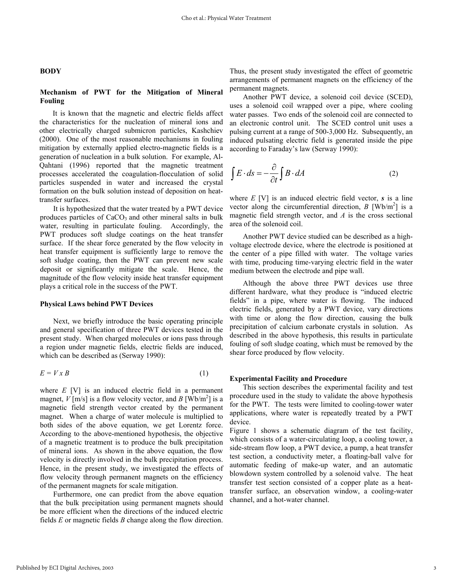#### **BODY**

# **Mechanism of PWT for the Mitigation of Mineral Fouling**

It is known that the magnetic and electric fields affect the characteristics for the nucleation of mineral ions and other electrically charged submicron particles, Kashchiev (2000). One of the most reasonable mechanisms in fouling mitigation by externally applied electro-magnetic fields is a generation of nucleation in a bulk solution. For example, Al-Qahtani (1996) reported that the magnetic treatment processes accelerated the coagulation-flocculation of solid particles suspended in water and increased the crystal formation on the bulk solution instead of deposition on heattransfer surfaces.

It is hypothesized that the water treated by a PWT device produces particles of  $CaCO<sub>3</sub>$  and other mineral salts in bulk water, resulting in particulate fouling. Accordingly, the PWT produces soft sludge coatings on the heat transfer surface. If the shear force generated by the flow velocity in heat transfer equipment is sufficiently large to remove the soft sludge coating, then the PWT can prevent new scale deposit or significantly mitigate the scale. Hence, the magnitude of the flow velocity inside heat transfer equipment plays a critical role in the success of the PWT.

#### **Physical Laws behind PWT Devices**

Next, we briefly introduce the basic operating principle and general specification of three PWT devices tested in the present study. When charged molecules or ions pass through a region under magnetic fields, electric fields are induced, which can be described as (Serway 1990):

$$
E = V \times B \tag{1}
$$

where *E* [V] is an induced electric field in a permanent magnet,  $V$ [m/s] is a flow velocity vector, and  $B$  [Wb/m<sup>2</sup>] is a magnetic field strength vector created by the permanent magnet. When a charge of water molecule is multiplied to both sides of the above equation, we get Lorentz force. According to the above-mentioned hypothesis, the objective of a magnetic treatment is to produce the bulk precipitation of mineral ions. As shown in the above equation, the flow velocity is directly involved in the bulk precipitation process. Hence, in the present study, we investigated the effects of flow velocity through permanent magnets on the efficiency of the permanent magnets for scale mitigation.

Furthermore, one can predict from the above equation that the bulk precipitation using permanent magnets should be more efficient when the directions of the induced electric fields *E* or magnetic fields *B* change along the flow direction. Thus, the present study investigated the effect of geometric arrangements of permanent magnets on the efficiency of the permanent magnets.

Another PWT device, a solenoid coil device (SCED), uses a solenoid coil wrapped over a pipe, where cooling water passes. Two ends of the solenoid coil are connected to an electronic control unit. The SCED control unit uses a pulsing current at a range of 500-3,000 Hz. Subsequently, an induced pulsating electric field is generated inside the pipe according to Faraday's law (Serway 1990):

$$
\int E \cdot ds = -\frac{\partial}{\partial t} \int B \cdot dA \tag{2}
$$

where  $E$  [V] is an induced electric field vector,  $s$  is a line vector along the circumferential direction,  $B \text{ [Wb/m}^2 \text{] is a}$ magnetic field strength vector, and *A* is the cross sectional area of the solenoid coil.

Another PWT device studied can be described as a highvoltage electrode device, where the electrode is positioned at the center of a pipe filled with water. The voltage varies with time, producing time-varying electric field in the water medium between the electrode and pipe wall.

Although the above three PWT devices use three different hardware, what they produce is "induced electric fields" in a pipe, where water is flowing. The induced electric fields, generated by a PWT device, vary directions with time or along the flow direction, causing the bulk precipitation of calcium carbonate crystals in solution. As described in the above hypothesis, this results in particulate fouling of soft sludge coating, which must be removed by the shear force produced by flow velocity.

#### **Experimental Facility and Procedure**

This section describes the experimental facility and test procedure used in the study to validate the above hypothesis for the PWT. The tests were limited to cooling-tower water applications, where water is repeatedly treated by a PWT device.

Figure 1 shows a schematic diagram of the test facility, which consists of a water-circulating loop, a cooling tower, a side-stream flow loop, a PWT device, a pump, a heat transfer test section, a conductivity meter, a floating-ball valve for automatic feeding of make-up water, and an automatic blowdown system controlled by a solenoid valve. The heat transfer test section consisted of a copper plate as a heattransfer surface, an observation window, a cooling-water channel, and a hot-water channel.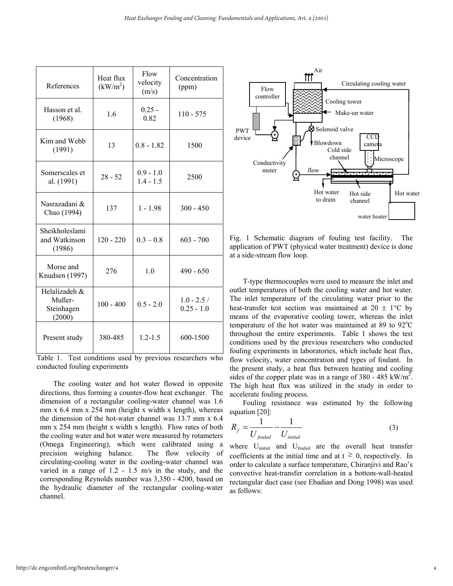| References                                       | Heat flux<br>(kW/m <sup>2</sup> ) | Flow<br>velocity<br>(m/s)  | Concentration<br>(ppm)       |
|--------------------------------------------------|-----------------------------------|----------------------------|------------------------------|
| Hasson et al.<br>(1968)                          | 1.6                               | $0.25 -$<br>0.82           | $110 - 575$                  |
| Kim and Webb<br>(1991)                           | 13                                | $0.8 - 1.82$               | 1500                         |
| Somerscales et<br>al. (1991)                     | $28 - 52$                         | $0.9 - 1.0$<br>$1.4 - 1.5$ | 2500                         |
| Nasrazadani &<br>Chao (1994)                     | 137                               | $1 - 1.98$                 | $300 - 450$                  |
| Sheikholeslami<br>and Watkinson<br>(1986)        | $120 - 220$                       | $0.3 - 0.8$                | $603 - 700$                  |
| Morse and<br>Knudsen (1997)                      | 276                               | 1.0                        | $490 - 650$                  |
| Helalizadeh &<br>Muller-<br>Steinhagen<br>(2000) | $100 - 400$                       | $0.5 - 2.0$                | $1.0 - 2.5/$<br>$0.25 - 1.0$ |
| Present study                                    | 380-485                           | $1.2 - 1.5$                | 600-1500                     |

Table 1. Test conditions used by previous researchers who conducted fouling experiments

The cooling water and hot water flowed in opposite directions, thus forming a counter-flow heat exchanger. The dimension of a rectangular cooling-water channel was 1.6 mm  $x$  6.4 mm  $x$  254 mm (height  $x$  width  $x$  length), whereas the dimension of the hot-water channel was 13.7 mm x 6.4 mm x 254 mm (height x width x length). Flow rates of both the cooling water and hot water were measured by rotameters (Omega Engineering), which were calibrated using a precision weighing balance. The flow velocity of circulating-cooling water in the cooling-water channel was varied in a range of 1.2 - 1.5 m/s in the study, and the corresponding Reynolds number was 3,350 - 4200, based on the hydraulic diameter of the rectangular cooling-water channel.



Fig. 1 Schematic diagram of fouling test facility. The application of PWT (physical water treatment) device is done at a side-stream flow loop.

T-type thermocouples were used to measure the inlet and outlet temperatures of both the cooling water and hot water. The inlet temperature of the circulating water prior to the heat-transfer test section was maintained at  $20 \pm 1$ °C by means of the evaporative cooling tower, whereas the inlet temperature of the hot water was maintained at 89 to  $92^{\circ}$ C throughout the entire experiments. Table 1 shows the test conditions used by the previous researchers who conducted fouling experiments in laboratories, which include heat flux, flow velocity, water concentration and types of foulant. In the present study, a heat flux between heating and cooling sides of the copper plate was in a range of 380 - 485 kW/ $m^2$ . The high heat flux was utilized in the study in order to accelerate fouling process.

Fouling resistance was estimated by the following equation [20]:

$$
R_f = \frac{1}{U_{\text{fouled}}} - \frac{1}{U_{\text{initial}}}
$$
(3)

where U<sub>initial</sub> and U<sub>fouled</sub> are the overall heat transfer coefficients at the initial time and at  $t \geq 0$ , respectively. In order to calculate a surface temperature, Chiranjivi and Rao's convective heat-transfer correlation in a bottom-wall-heated rectangular duct case (see Ebadian and Dong 1998) was used as follows: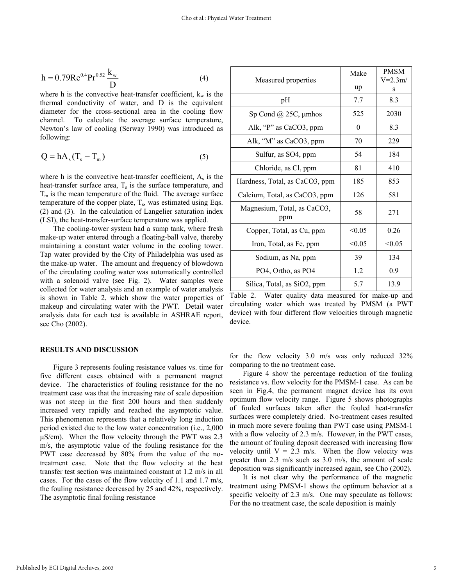$$
h = 0.79 \text{Re}^{0.4} \text{Pr}^{0.52} \frac{k_{w}}{D}
$$
 (4)

where h is the convective heat-transfer coefficient,  $k_w$  is the thermal conductivity of water, and D is the equivalent diameter for the cross-sectional area in the cooling flow channel. To calculate the average surface temperature, Newton's law of cooling (Serway 1990) was introduced as following:

$$
Q = hA_s(T_s - T_m)
$$
 (5)

where h is the convective heat-transfer coefficient,  $A_s$  is the heat-transfer surface area,  $T<sub>s</sub>$  is the surface temperature, and  $T_m$  is the mean temperature of the fluid. The average surface temperature of the copper plate,  $T_s$ , was estimated using Eqs. (2) and (3). In the calculation of Langelier saturation index (LSI), the heat-transfer-surface temperature was applied.

The cooling-tower system had a sump tank, where fresh make-up water entered through a floating-ball valve, thereby maintaining a constant water volume in the cooling tower. Tap water provided by the City of Philadelphia was used as the make-up water. The amount and frequency of blowdown of the circulating cooling water was automatically controlled with a solenoid valve (see Fig. 2). Water samples were collected for water analysis and an example of water analysis is shown in Table 2, which show the water properties of makeup and circulating water with the PWT. Detail water analysis data for each test is available in ASHRAE report, see Cho (2002).

#### **RESULTS AND DISCUSSION**

Figure 3 represents fouling resistance values vs. time for five different cases obtained with a permanent magnet device. The characteristics of fouling resistance for the no treatment case was that the increasing rate of scale deposition was not steep in the first 200 hours and then suddenly increased very rapidly and reached the asymptotic value. This phenomenon represents that a relatively long induction period existed due to the low water concentration (i.e., 2,000  $\mu$ S/cm). When the flow velocity through the PWT was 2.3 m/s, the asymptotic value of the fouling resistance for the PWT case decreased by 80% from the value of the notreatment case. Note that the flow velocity at the heat transfer test section was maintained constant at 1.2 m/s in all cases. For the cases of the flow velocity of 1.1 and 1.7 m/s, the fouling resistance decreased by 25 and 42%, respectively. The asymptotic final fouling resistance

| Measured properties                | Make<br>up | <b>PMSM</b><br>$V = 2.3m/$<br>S |
|------------------------------------|------------|---------------------------------|
| pH                                 | 7.7        | 8.3                             |
| Sp Cond $\omega$ 25C, $\mu$ mhos   | 525        | 2030                            |
| Alk, "P" as CaCO3, ppm             | $\theta$   | 8.3                             |
| Alk, "M" as CaCO3, ppm             | 70         | 229                             |
| Sulfur, as SO4, ppm                | 54         | 184                             |
| Chloride, as Cl, ppm               | 81         | 410                             |
| Hardness, Total, as CaCO3, ppm     | 185        | 853                             |
| Calcium, Total, as CaCO3, ppm      | 126        | 581                             |
| Magnesium, Total, as CaCO3,<br>ppm | 58         | 271                             |
| Copper, Total, as Cu, ppm          | < 0.05     | 0.26                            |
| Iron, Total, as Fe, ppm            | < 0.05     | < 0.05                          |
| Sodium, as Na, ppm                 | 39         | 134                             |
| PO4, Ortho, as PO4                 | 1.2        | 0.9                             |
| Silica, Total, as SiO2, ppm        | 5.7        | 13.9                            |

Table 2. Water quality data measured for make-up and circulating water which was treated by PMSM (a PWT device) with four different flow velocities through magnetic device.

for the flow velocity 3.0 m/s was only reduced 32% comparing to the no treatment case.

Figure 4 show the percentage reduction of the fouling resistance vs. flow velocity for the PMSM-1 case. As can be seen in Fig.4, the permanent magnet device has its own optimum flow velocity range. Figure 5 shows photographs of fouled surfaces taken after the fouled heat-transfer surfaces were completely dried. No-treatment cases resulted in much more severe fouling than PWT case using PMSM-1 with a flow velocity of 2.3 m/s. However, in the PWT cases, the amount of fouling deposit decreased with increasing flow velocity until  $V = 2.3$  m/s. When the flow velocity was greater than 2.3 m/s such as 3.0 m/s, the amount of scale deposition was significantly increased again, see Cho (2002).

It is not clear why the performance of the magnetic treatment using PMSM-1 shows the optimum behavior at a specific velocity of 2.3 m/s. One may speculate as follows: For the no treatment case, the scale deposition is mainly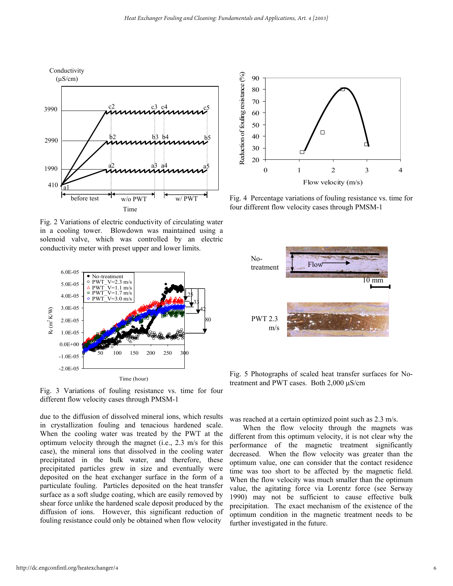

Fig. 2 Variations of electric conductivity of circulating water in a cooling tower. Blowdown was maintained using a solenoid valve, which was controlled by an electric conductivity meter with preset upper and lower limits.



Fig. 3 Variations of fouling resistance vs. time for four different flow velocity cases through PMSM-1

due to the diffusion of dissolved mineral ions, which results in crystallization fouling and tenacious hardened scale. When the cooling water was treated by the PWT at the optimum velocity through the magnet (i.e., 2.3 m/s for this case), the mineral ions that dissolved in the cooling water precipitated in the bulk water, and therefore, these precipitated particles grew in size and eventually were deposited on the heat exchanger surface in the form of a particulate fouling. Particles deposited on the heat transfer surface as a soft sludge coating, which are easily removed by shear force unlike the hardened scale deposit produced by the diffusion of ions. However, this significant reduction of fouling resistance could only be obtained when flow velocity



Fig. 4 Percentage variations of fouling resistance vs. time for four different flow velocity cases through PMSM-1



Fig. 5 Photographs of scaled heat transfer surfaces for Notreatment and PWT cases. Both 2,000 µS/cm

was reached at a certain optimized point such as 2.3 m/s.

When the flow velocity through the magnets was different from this optimum velocity, it is not clear why the performance of the magnetic treatment significantly decreased. When the flow velocity was greater than the optimum value, one can consider that the contact residence time was too short to be affected by the magnetic field. When the flow velocity was much smaller than the optimum value, the agitating force via Lorentz force (see Serway 1990) may not be sufficient to cause effective bulk precipitation. The exact mechanism of the existence of the optimum condition in the magnetic treatment needs to be further investigated in the future.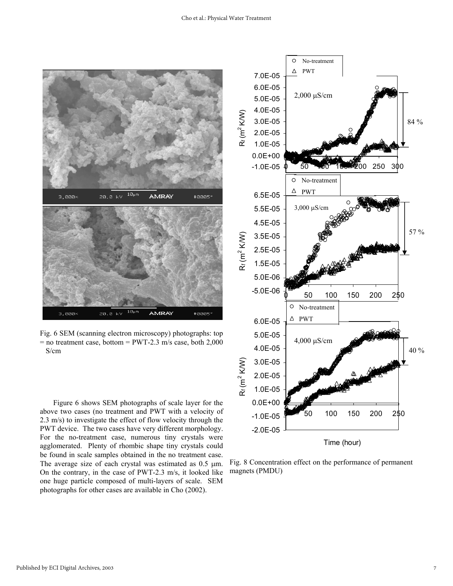

Fig. 6 SEM (scanning electron microscopy) photographs: top  $=$  no treatment case, bottom  $=$  PWT-2.3 m/s case, both 2,000 S/cm

Figure 6 shows SEM photographs of scale layer for the above two cases (no treatment and PWT with a velocity of 2.3 m/s) to investigate the effect of flow velocity through the PWT device. The two cases have very different morphology. For the no-treatment case, numerous tiny crystals were agglomerated. Plenty of rhombic shape tiny crystals could be found in scale samples obtained in the no treatment case. The average size of each crystal was estimated as  $0.5 \mu m$ . On the contrary, in the case of PWT-2.3 m/s, it looked like one huge particle composed of multi-layers of scale. SEM photographs for other cases are available in Cho (2002).



Fig. 8 Concentration effect on the performance of permanent magnets (PMDU)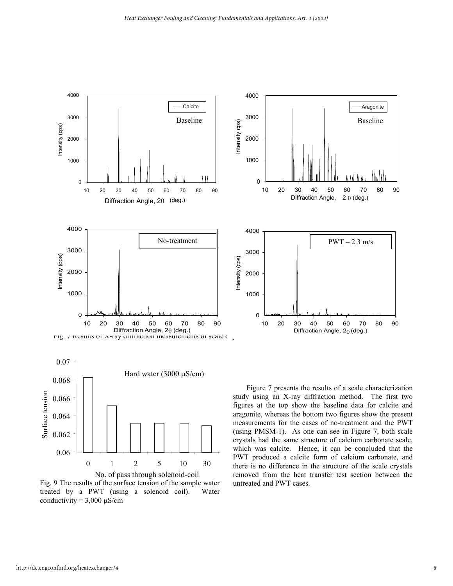

Fig. 9 The results of the surface tension of the sample water treated by a PWT (using a solenoid coil). Water conductivity =  $3,000 \mu$ S/cm

study using an X-ray diffraction method. The first two figures at the top show the baseline data for calcite and aragonite, whereas the bottom two figures show the present measurements for the cases of no-treatment and the PWT (using PMSM-1). As one can see in Figure 7, both scale crystals had the same structure of calcium carbonate scale, which was calcite. Hence, it can be concluded that the PWT produced a calcite form of calcium carbonate, and there is no difference in the structure of the scale crystals removed from the heat transfer test section between the untreated and PWT cases.

Surface tension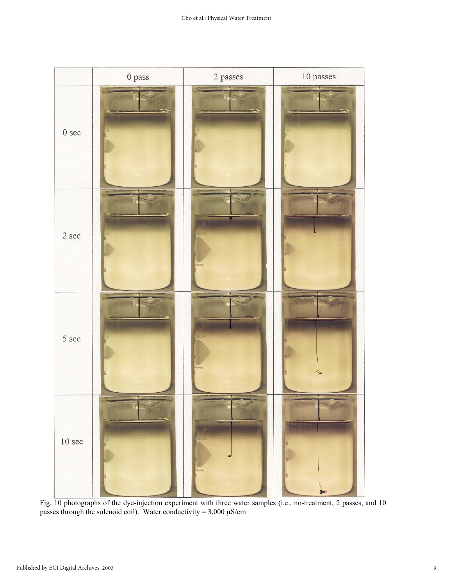

Fig. 10 photographs of the dye-injection experiment with three water samples (i.e., no-treatment, 2 passes, and 10 passes through the solenoid coil). Water conductivity =  $3,000 \mu$ S/cm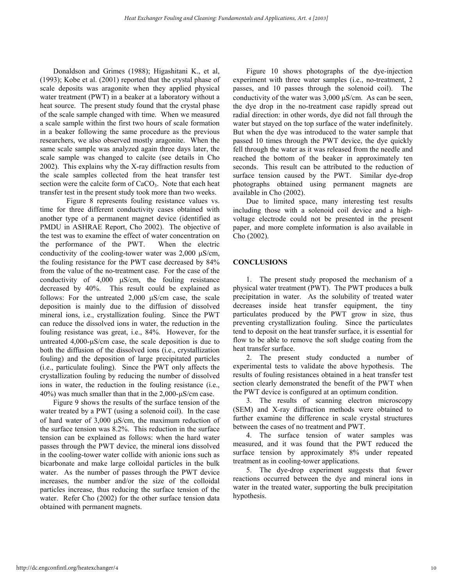Donaldson and Grimes (1988); Higashitani K., et al, (1993); Kobe et al. (2001) reported that the crystal phase of scale deposits was aragonite when they applied physical water treatment (PWT) in a beaker at a laboratory without a heat source. The present study found that the crystal phase of the scale sample changed with time. When we measured a scale sample within the first two hours of scale formation in a beaker following the same procedure as the previous researchers, we also observed mostly aragonite. When the same scale sample was analyzed again three days later, the scale sample was changed to calcite (see details in Cho 2002). This explains why the X-ray diffraction results from the scale samples collected from the heat transfer test section were the calcite form of  $CaCO<sub>3</sub>$ . Note that each heat transfer test in the present study took more than two weeks.

Figure 8 represents fouling resistance values vs. time for three different conductivity cases obtained with another type of a permanent magnet device (identified as PMDU in ASHRAE Report, Cho 2002). The objective of the test was to examine the effect of water concentration on the performance of the PWT. When the electric conductivity of the cooling-tower water was  $2,000 \mu S/cm$ , the fouling resistance for the PWT case decreased by 84% from the value of the no-treatment case. For the case of the conductivity of 4,000 µS/cm, the fouling resistance decreased by 40%. This result could be explained as follows: For the untreated  $2,000 \mu S/cm$  case, the scale deposition is mainly due to the diffusion of dissolved mineral ions, i.e., crystallization fouling. Since the PWT can reduce the dissolved ions in water, the reduction in the fouling resistance was great, i.e., 84%. However, for the untreated 4,000-µS/cm case, the scale deposition is due to both the diffusion of the dissolved ions (i.e., crystallization fouling) and the deposition of large precipitated particles (i.e., particulate fouling). Since the PWT only affects the crystallization fouling by reducing the number of dissolved ions in water, the reduction in the fouling resistance (i.e., 40%) was much smaller than that in the 2,000-µS/cm case.

Figure 9 shows the results of the surface tension of the water treated by a PWT (using a solenoid coil). In the case of hard water of 3,000 µS/cm, the maximum reduction of the surface tension was 8.2%. This reduction in the surface tension can be explained as follows: when the hard water passes through the PWT device, the mineral ions dissolved in the cooling-tower water collide with anionic ions such as bicarbonate and make large colloidal particles in the bulk water. As the number of passes through the PWT device increases, the number and/or the size of the colloidal particles increase, thus reducing the surface tension of the water. Refer Cho (2002) for the other surface tension data obtained with permanent magnets.

Figure 10 shows photographs of the dye-injection experiment with three water samples (i.e., no-treatment, 2 passes, and 10 passes through the solenoid coil). The conductivity of the water was 3,000 µS/cm. As can be seen, the dye drop in the no-treatment case rapidly spread out radial direction: in other words, dye did not fall through the water but stayed on the top surface of the water indefinitely. But when the dye was introduced to the water sample that passed 10 times through the PWT device, the dye quickly fell through the water as it was released from the needle and reached the bottom of the beaker in approximately ten seconds. This result can be attributed to the reduction of surface tension caused by the PWT. Similar dye-drop photographs obtained using permanent magnets are available in Cho (2002).

Due to limited space, many interesting test results including those with a solenoid coil device and a highvoltage electrode could not be presented in the present paper, and more complete information is also available in Cho (2002).

# **CONCLUSIONS**

1. The present study proposed the mechanism of a physical water treatment (PWT). The PWT produces a bulk precipitation in water. As the solubility of treated water decreases inside heat transfer equipment, the tiny particulates produced by the PWT grow in size, thus preventing crystallization fouling. Since the particulates tend to deposit on the heat transfer surface, it is essential for flow to be able to remove the soft sludge coating from the heat transfer surface.

2. The present study conducted a number of experimental tests to validate the above hypothesis. The results of fouling resistances obtained in a heat transfer test section clearly demonstrated the benefit of the PWT when the PWT device is configured at an optimum condition.

3. The results of scanning electron microscopy (SEM) and X-ray diffraction methods were obtained to further examine the difference in scale crystal structures between the cases of no treatment and PWT.

4. The surface tension of water samples was measured, and it was found that the PWT reduced the surface tension by approximately 8% under repeated treatment as in cooling-tower applications.

5. The dye-drop experiment suggests that fewer reactions occurred between the dye and mineral ions in water in the treated water, supporting the bulk precipitation hypothesis.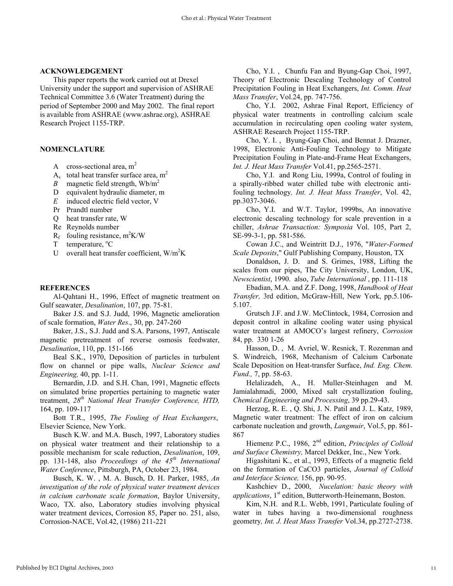#### **ACKNOWLEDGEMENT**

This paper reports the work carried out at Drexel University under the support and supervision of ASHRAE Technical Committee 3.6 (Water Treatment) during the period of September 2000 and May 2002. The final report is available from ASHRAE (www.ashrae.org), ASHRAE Research Project 1155-TRP.

#### **NOMENCLATURE**

- A cross-sectional area,  $m<sup>2</sup>$
- $A_s$  total heat transfer surface area, m<sup>2</sup>
- *B* magnetic field strength,  $Wb/m^2$
- D equivalent hydraulic diameter, m
- *E* induced electric field vector, V
- Pr Prandtl number
- Q heat transfer rate, W
- Re Reynolds number
- $R_f$  fouling resistance, m<sup>2</sup>K/W
- $T$  temperature,  $^{\circ}C$
- U overall heat transfer coefficient,  $W/m^2K$

#### **REFERENCES**

Al-Qahtani H., 1996, Effect of magnetic treatment on Gulf seawater, *Desalination*, 107, pp. 75-81.

Baker J.S. and S.J. Judd, 1996, Magnetic amelioration of scale formation, *Water Res*., 30, pp. 247-260

Baker, J.S., S.J. Judd and S.A. Parsons, 1997, Antiscale magnetic pretreatment of reverse osmosis feedwater, *Desalination*, 110, pp. 151-166

Beal S.K., 1970, Deposition of particles in turbulent flow on channel or pipe walls, *Nuclear Science and Engineering,* 40, pp. 1-11.

Bernardin, J.D. and S.H. Chan, 1991, Magnetic effects on simulated brine properties pertaining to magnetic water treatment, *28th National Heat Transfer Conference, HTD,* 164, pp. 109-117

Bott T.R., 1995, *The Fouling of Heat Exchangers*, Elsevier Science, New York.

Busch K.W. and M.A. Busch, 1997, Laboratory studies on physical water treatment and their relationship to a possible mechanism for scale reduction, *Desalination*, 109, pp. 131-148, also *Proceedings of the 45th International Water Conference*, Pittsburgh, PA, October 23, 1984.

Busch, K. W. , M. A. Busch, D. H. Parker, 1985, *An investigation of the role of physical water treatment devices in calcium carbonate scale formation*, Baylor University, Waco, TX. also, Laboratory studies involving physical water treatment devices, Corrosion 85, Paper no. 251, also, Corrosion-NACE, Vol.42, (1986) 211-221

Cho, Y.I. , Chunfu Fan and Byung-Gap Choi, 1997, Theory of Electronic Descaling Technology of Control Precipitation Fouling in Heat Exchangers, *Int. Comm. Heat Mass Transfer*, Vol.24, pp. 747-756.

Cho, Y.I. 2002, Ashrae Final Report, Efficiency of physical water treatments in controlling calcium scale accumulation in recirculating open cooling water system, ASHRAE Research Project 1155-TRP.

Cho, Y. I. , Byung-Gap Choi, and Bennat J. Drazner, 1998, Electronic Anti-Fouling Technology to Mitigate Precipitation Fouling in Plate-and-Frame Heat Exchangers, *Int. J. Heat Mass Transfer* Vol.41, pp.2565-2571.

Cho, Y.I. and Rong Liu, 1999a, Control of fouling in a spirally-ribbed water chilled tube with electronic antifouling technology*, Int. J. Heat Mass Transfer*, Vol. 42, pp.3037-3046.

Cho, Y.I. and W.T. Taylor, 1999bs, An innovative electronic descaling technology for scale prevention in a chiller, *Ashrae Transaction: Symposia* Vol. 105, Part 2, SE-99-3-1, pp. 581-586.

Cowan J.C., and Weintritt D.J., 1976, "*Water-Formed Scale Deposits*," Gulf Publishing Company, Houston, TX

Donaldson, J. D. and S. Grimes, 1988, Lifting the scales from our pipes, The City University, London, UK, *Newscientist*, 1990. also, *Tube International* , pp. 111-118

Ebadian, M.A. and Z.F. Dong, 1998, *Handbook of Heat Transfer,* 3rd edition, McGraw-Hill, New York, pp.5.106- 5.107.

Grutsch J.F. and J.W. McClintock, 1984, Corrosion and deposit control in alkaline cooling water using physical water treatment at AMOCO's largest refinery, *Corrosion* 84, pp. 330 1-26

Hasson, D. , M. Avriel, W. Resnick, T. Rozenman and S. Windreich, 1968, Mechanism of Calcium Carbonate Scale Deposition on Heat-transfer Surface, *Ind. Eng. Chem. Fund.,* 7, pp. 58-63.

Helalizadeh, A., H. Muller-Steinhagen and M. Jamialahmadi, 2000, Mixed salt crystallization fouling, *Chemical Engineering and Processing*, 39 pp.29-43.

Herzog, R. E. , Q. Shi, J. N. Patil and J. L. Katz, 1989, Magnetic water treatment: The effect of iron on calcium carbonate nucleation and growth, *Langmuir*, Vol.5, pp. 861- 867

Hiemenz P.C., 1986, 2nd edition, *Principles of Colloid and Surface Chemistry,* Marcel Dekker, Inc., New York.

Higashitani K., et al., 1993, Effects of a magnetic field on the formation of CaCO3 particles, *Journal of Colloid and Interface Science,* 156, pp. 90-95.

Kashchiev D., 2000, *Nucelation: basic theory with applications*, 1<sup>st</sup> edition, Butterworth-Heinemann, Boston.

Kim, N.H. and R.L. Webb, 1991, Particulate fouling of water in tubes having a two-dimensional roughness geometry*, Int. J. Heat Mass Transfer* Vol.34, pp.2727-2738.